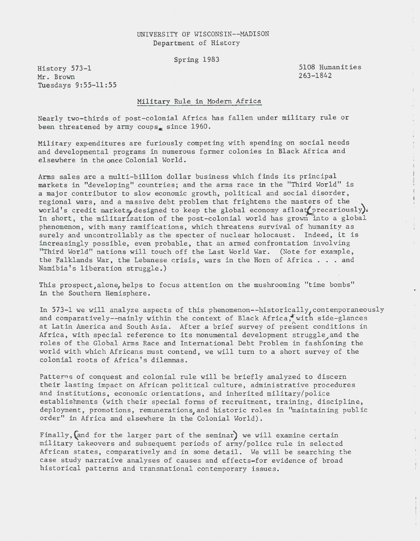## UNIVERSITY OF WISCONSIN--MADISON Department of History

Spring 1983

History 573-1 Mr. Brown Tuesdays 9:55-11:55 5108 Humanities 263-1842

 $\frac{1}{2}$ 

 $\bar{\phantom{a}}$ 

 $\ddot{\phantom{a}}$  $\frac{1}{\hat{P}}$  $\frac{1}{4}$ 

 $\label{eq:2.1} \begin{array}{lllllllll} \mathcal{P} & \text{if } \mathcal{P} & \text{if } \mathcal{P} & \text{if } \mathcal{P} \in \mathcal{P} \text{ and } \mathcal{P} & \text{if } \mathcal{P} \in \mathcal{P} \text{ and } \mathcal{P} & \text{if } \mathcal{P} \in \mathcal{P} \text{ and } \mathcal{P} & \text{if } \mathcal{P} \in \mathcal{P} \text{ and } \mathcal{P} & \text{if } \mathcal{P} \in \mathcal{P} \text{ and } \mathcal{P} & \text{if } \mathcal{P} \in \$ 

 $\frac{1}{2} \sum_{i=1}^{N} \frac{1}{2} \sum_{j=1}^{N} \frac{1}{2} \sum_{j=1}^{N} \frac{1}{2} \sum_{j=1}^{N} \frac{1}{2} \sum_{j=1}^{N} \frac{1}{2} \sum_{j=1}^{N} \frac{1}{2} \sum_{j=1}^{N} \frac{1}{2} \sum_{j=1}^{N} \frac{1}{2} \sum_{j=1}^{N} \frac{1}{2} \sum_{j=1}^{N} \frac{1}{2} \sum_{j=1}^{N} \frac{1}{2} \sum_{j=1}^{N} \frac{1}{2} \sum_{j=1}^{N$ 

 $\pm$ 

 $\lambda$  .

 $\mathbb{C}$  $\mathcal{L}^{\pm}$ 

 $\frac{1}{4}$ 

## Military Rule in Modern Africa

Nearly two-thirds of post-colonial Africa has fallen under military rule or been threatened by army coups. since  $1960$ .

Military expenditures are furiously competing with spending on social needs and developmental programs in numerous former colonies in Black Africa and elsewhere in the once Colonial World.

Arms sales are a multi-billion dollar business which finds its principal markets in "developing" countries; and the arms race in the "Third World" is a major contributor to slow economic growth, political and social disorder, regional wars, and a massive debt problem that frightens the masters of the world's credit markets, designed to keep the global economy afloat precariously). In short, the militarization of the post-colonial world has grown into a global phenomenon, with many ramifications, which threatens survival of humanity as surely and uncontrollably as the specter of nuclear holocaust. Indeed, it is increasingly possible, even probable, that an armed confrontation involving "Third World" nations will touch off the Last World War. (Note for example, the Falklands War, the Lebanese crisis, wars in the Horn of Africa . . . and Namibia's liberation struggle.)

This prospect,alone, helps to focus attention on the mushrooming "time bombs" in the Southern Hemisphere.

In 573-1 we will analyze aspects of this phenomenon--historically, contemporaneously and comparatively--mainly within the context of Black Africa, with side-glances at Latin America and South Asia. After a brief survey of present conditions in Africa, with special reference to its monumental development struggle, and the roles of the Global Arms Race and International Debt Problem in fashioning the world with which Africans must contend, we will turn to a short survey of the colonial roots of Africa's dilemmas.

Patterns of conquest and colonial rule will be briefly analyzed to discern their lasting impact on African political culture, administrative procedures and institutions, economic orientations, and inherited military/police establishments (with their special forms of recruitment, training, discipline, deployment, promotions, remunerations, and historic roles in "maintaining public order" in Africa and elsewhere in the Colonial World).

Finally,(and for the larger part of the seminar) we will examine certain military takeovers and subsequent periods of army/police rule in selected African states, comparatively and in some detail. We will be searching the case study narrative analyses of causes and effects-for evidence of broad historical patterns and transnational contemporary issues.